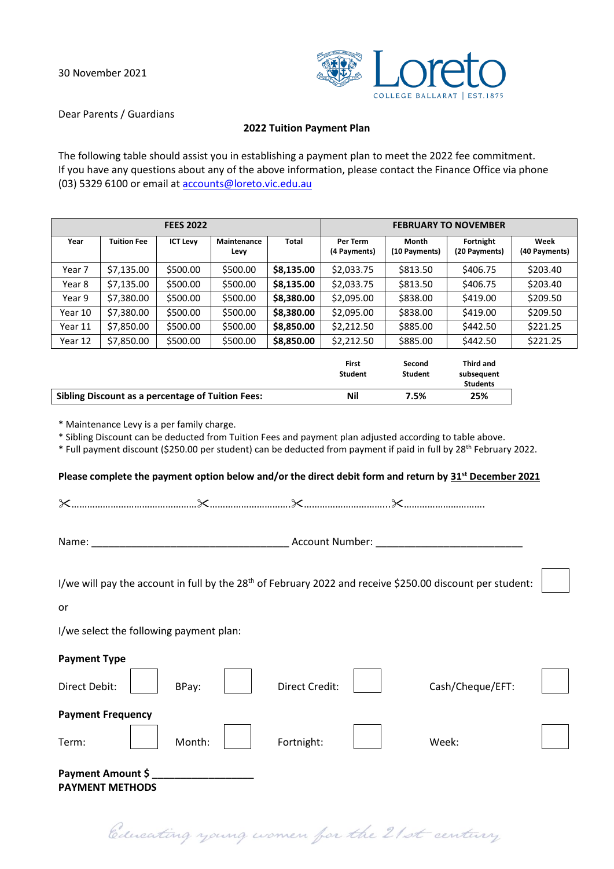

Dear Parents / Guardians

#### **2022 Tuition Payment Plan**

The following table should assist you in establishing a payment plan to meet the 2022 fee commitment. If you have any questions about any of the above information, please contact the Finance Office via phone (03) 5329 6100 or email at [accounts@loreto.vic.edu.au](mailto:accounts@loreto.vic.edu.au)

| <b>FEES 2022</b>                                                                                                                                                                                                                                                                                                                                                                                               |                                                          |                 |                            |              | <b>FEBRUARY TO NOVEMBER</b>    |                          |                                                   |                       |
|----------------------------------------------------------------------------------------------------------------------------------------------------------------------------------------------------------------------------------------------------------------------------------------------------------------------------------------------------------------------------------------------------------------|----------------------------------------------------------|-----------------|----------------------------|--------------|--------------------------------|--------------------------|---------------------------------------------------|-----------------------|
| Year                                                                                                                                                                                                                                                                                                                                                                                                           | <b>Tuition Fee</b>                                       | <b>ICT Levy</b> | <b>Maintenance</b><br>Levy | <b>Total</b> | Per Term<br>(4 Payments)       | Month<br>(10 Payments)   | Fortnight<br>(20 Payments)                        | Week<br>(40 Payments) |
| Year 7                                                                                                                                                                                                                                                                                                                                                                                                         | \$7,135.00                                               | \$500.00        | \$500.00                   | \$8,135.00   | \$2,033.75                     | \$813.50                 | \$406.75                                          | \$203.40              |
| Year 8                                                                                                                                                                                                                                                                                                                                                                                                         | \$7,135.00                                               | \$500.00        | \$500.00                   | \$8,135.00   | \$2,033.75                     | \$813.50                 | \$406.75                                          | \$203.40              |
| Year 9                                                                                                                                                                                                                                                                                                                                                                                                         | \$7,380.00                                               | \$500.00        | \$500.00                   | \$8,380.00   | \$2,095.00                     | \$838.00                 | \$419.00                                          | \$209.50              |
| Year 10                                                                                                                                                                                                                                                                                                                                                                                                        | \$7,380.00                                               | \$500.00        | \$500.00                   | \$8,380.00   | \$2,095.00                     | \$838.00                 | \$419.00                                          | \$209.50              |
| Year 11                                                                                                                                                                                                                                                                                                                                                                                                        | \$7,850.00                                               | \$500.00        | \$500.00                   | \$8,850.00   | \$2,212.50                     | \$885.00                 | \$442.50                                          | \$221.25              |
| Year 12                                                                                                                                                                                                                                                                                                                                                                                                        | \$7,850.00                                               | \$500.00        | \$500.00                   | \$8,850.00   | \$2,212.50                     | \$885.00                 | \$442.50                                          | \$221.25              |
|                                                                                                                                                                                                                                                                                                                                                                                                                |                                                          |                 |                            |              | <b>First</b><br><b>Student</b> | Second<br><b>Student</b> | <b>Third and</b><br>subsequent<br><b>Students</b> |                       |
|                                                                                                                                                                                                                                                                                                                                                                                                                | <b>Sibling Discount as a percentage of Tuition Fees:</b> |                 | <b>Nil</b>                 | 7.5%         | 25%                            |                          |                                                   |                       |
| * Maintenance Levy is a per family charge.<br>* Sibling Discount can be deducted from Tuition Fees and payment plan adjusted according to table above.<br>* Full payment discount (\$250.00 per student) can be deducted from payment if paid in full by 28 <sup>th</sup> February 2022.<br>Please complete the payment option below and/or the direct debit form and return by 31 <sup>st</sup> December 2021 |                                                          |                 |                            |              |                                |                          |                                                   |                       |
|                                                                                                                                                                                                                                                                                                                                                                                                                |                                                          |                 |                            |              |                                |                          |                                                   |                       |
| Account Number:<br>Name:                                                                                                                                                                                                                                                                                                                                                                                       |                                                          |                 |                            |              |                                |                          |                                                   |                       |
| I/we will pay the account in full by the 28 <sup>th</sup> of February 2022 and receive \$250.00 discount per student:                                                                                                                                                                                                                                                                                          |                                                          |                 |                            |              |                                |                          |                                                   |                       |

or

I/we select the following payment plan:

| <b>Payment Type</b>                         |        |  |                |  |                  |  |
|---------------------------------------------|--------|--|----------------|--|------------------|--|
| Direct Debit:                               | BPay:  |  | Direct Credit: |  | Cash/Cheque/EFT: |  |
| <b>Payment Frequency</b>                    |        |  |                |  |                  |  |
| Term:                                       | Month: |  | Fortnight:     |  | Week:            |  |
| Payment Amount \$<br><b>PAYMENT METHODS</b> |        |  |                |  |                  |  |

Educating young women for the 21st century